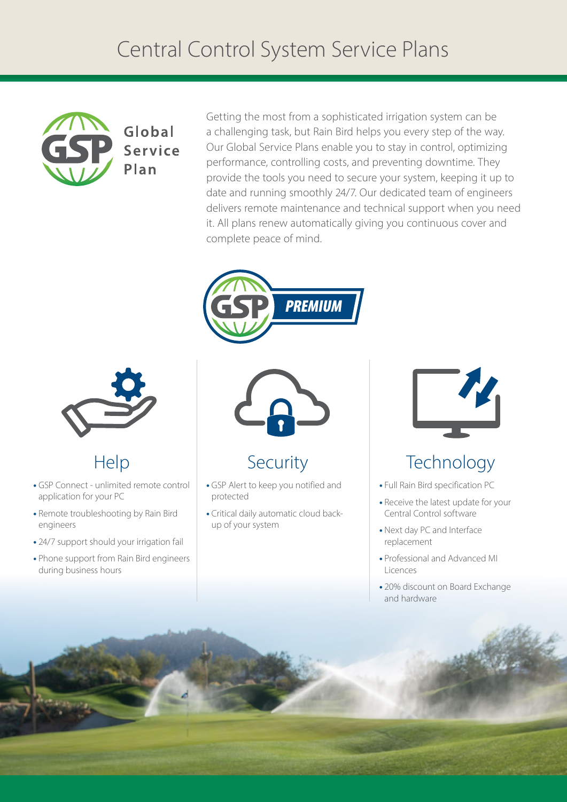# Central Control System Service Plans



#### Global Service Plan

Getting the most from a sophisticated irrigation system can be a challenging task, but Rain Bird helps you every step of the way. Our Global Service Plans enable you to stay in control, optimizing performance, controlling costs, and preventing downtime. They provide the tools you need to secure your system, keeping it up to date and running smoothly 24/7. Our dedicated team of engineers delivers remote maintenance and technical support when you need it. All plans renew automatically giving you continuous cover and complete peace of mind.





### Help

- GSP Connect unlimited remote control application for your PC
- Remote troubleshooting by Rain Bird engineers
- 24/7 support should your irrigation fail
- Phone support from Rain Bird engineers during business hours



### Security

- GSP Alert to keep you notified and protected
- Critical daily automatic cloud backup of your system



## **Technology**

- Full Rain Bird specification PC
- Receive the latest update for your Central Control software
- Next day PC and Interface replacement
- **•** Professional and Advanced MI Licences
- **•** 20% discount on Board Exchange and hardware